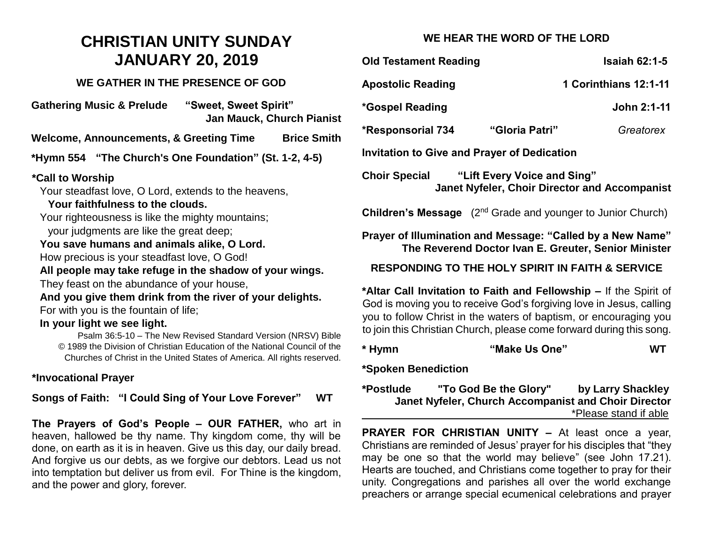# **CHRISTIAN UNITY SUNDAY JANUARY 20, 2019**

### **WE GATHER IN THE PRESENCE OF GOD**

**Gathering Music & Prelude "Sweet, Sweet Spirit" Jan Mauck, Church Pianist**

**Welcome, Announcements, & Greeting Time Brice Smith**

**\*Hymn 554 "The Church's One Foundation" (St. 1-2, 4-5)**

#### **\*Call to Worship**

Your steadfast love, O Lord, extends to the heavens, **Your faithfulness to the clouds.**

Your righteousness is like the mighty mountains; your judgments are like the great deep;

#### **You save humans and animals alike, O Lord.**

How precious is your steadfast love, O God!

**All people may take refuge in the shadow of your wings.**

They feast on the abundance of your house,

**And you give them drink from the river of your delights.** For with you is the fountain of life;

# **In your light we see light.**

Psalm 36:5-10 – The New Revised Standard Version (NRSV) Bible © 1989 the Division of Christian Education of the National Council of the Churches of Christ in the United States of America. All rights reserved.

# **\*Invocational Prayer**

**Songs of Faith: "I Could Sing of Your Love Forever" WT**

**The Prayers of God's People – OUR FATHER,** who art in heaven, hallowed be thy name. Thy kingdom come, thy will be done, on earth as it is in heaven. Give us this day, our daily bread. And forgive us our debts, as we forgive our debtors. Lead us not into temptation but deliver us from evil. For Thine is the kingdom, and the power and glory, forever.

# **WE HEAR THE WORD OF THE LORD**

| <b>Old Testament Reading</b>                                                                                       | <b>Isaiah 62:1-5</b>  |  |  |
|--------------------------------------------------------------------------------------------------------------------|-----------------------|--|--|
| <b>Apostolic Reading</b>                                                                                           | 1 Corinthians 12:1-11 |  |  |
| *Gospel Reading                                                                                                    | John 2:1-11           |  |  |
| <b>*Responsorial 734</b><br>"Gloria Patri"                                                                         | Greatorex             |  |  |
| <b>Invitation to Give and Prayer of Dedication</b>                                                                 |                       |  |  |
| "Lift Every Voice and Sing"<br>Choir Special<br><b>Janet Nyfeler, Choir Director and Accompanist</b>               |                       |  |  |
| <b>Children's Message</b> (2 <sup>nd</sup> Grade and younger to Junior Church)                                     |                       |  |  |
| Prayer of Illumination and Message: "Called by a New Name"<br>The Reverend Doctor Ivan E. Greuter, Senior Minister |                       |  |  |
| <b>RESPONDING TO THE HOLY SPIRIT IN FAITH &amp; SERVICE</b>                                                        |                       |  |  |
| *Altar Call Invitation to Faith and Fellowship - If the Spirit of                                                  |                       |  |  |

God is moving you to receive God's forgiving love in Jesus, calling you to follow Christ in the waters of baptism, or encouraging you to join this Christian Church, please come forward during this song.

| * Hymn | "Make Us One" | <b>WT</b> |
|--------|---------------|-----------|
|--------|---------------|-----------|

**\*Spoken Benediction**

| *Postlude | "To God Be the Glory"                                | by Larry Shackley     |
|-----------|------------------------------------------------------|-----------------------|
|           | Janet Nyfeler, Church Accompanist and Choir Director |                       |
|           |                                                      | *Please stand if able |

**PRAYER FOR CHRISTIAN UNITY –** At least once a year, Christians are reminded of Jesus' prayer for his disciples that "they may be one so that the world may believe" (see John 17.21). Hearts are touched, and Christians come together to pray for their unity. Congregations and parishes all over the world exchange preachers or arrange special ecumenical celebrations and prayer